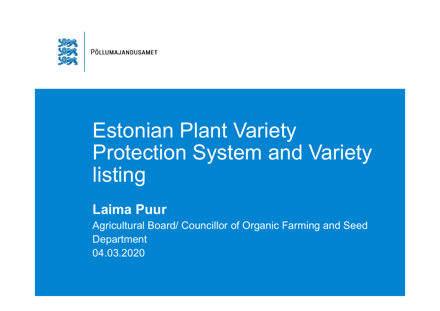

## Estonian Plant Variety Protection System and Variety listing

#### **Laima Puur**

Agricultural Board/ Councillor of Organic Farming and Seed **Department** 04.03.2020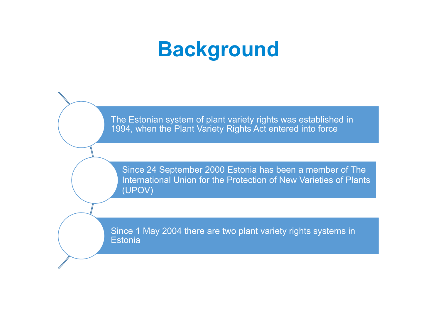## **Background**

The Estonian system of plant variety rights was established in 1994, when the Plant Variety Rights Act entered into force

Since 24 September 2000 Estonia has been a member of The International Union for the Protection of New Varieties of Plants (UPOV)

Since 1 May 2004 there are two plant variety rights systems in **Estonia**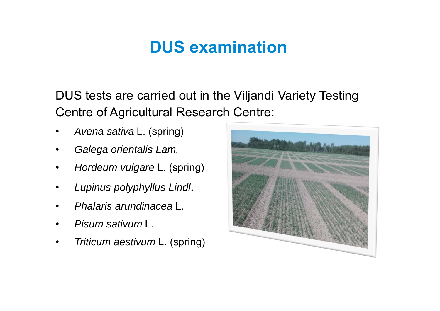### **DUS examination**

DUS tests are carried out in the Viljandi Variety Testing Centre of Agricultural Research Centre:

- •*Avena sativa* L. (spring)
- •*Galega orientalis Lam.*
- •*Hordeum vulgare* L. (spring)
- •*Lupinus polyphyllus Lindl*.
- •*Phalaris arundinacea* L.
- •*Pisum sativum* L.
- •• Triticum aestivum L. (spring)

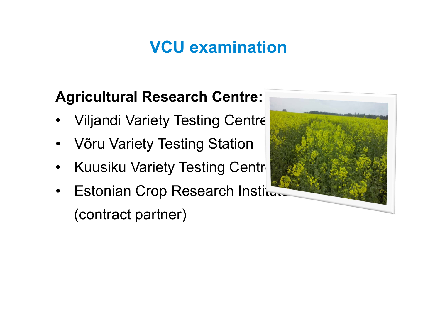### **VCU examination**

#### **Agricultural Research Centre:**

- •Viljandi Variety Testing Centre
- •Võru Variety Testing Station
- •Kuusiku Variety Testing Centr
- $\bullet$ **Estonian Crop Research Institute** (contract partner)

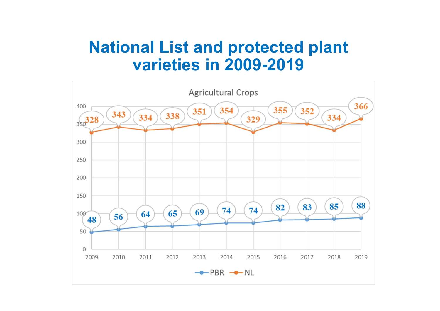#### **National List and protected plant varieties in 2009-2019**

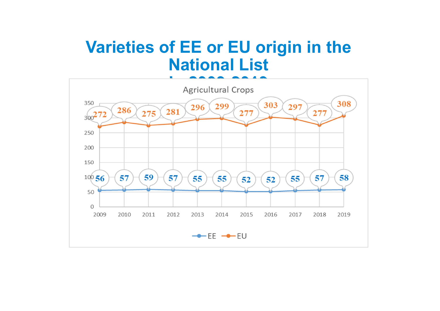### **Varieties of EE or EU origin in the National List**

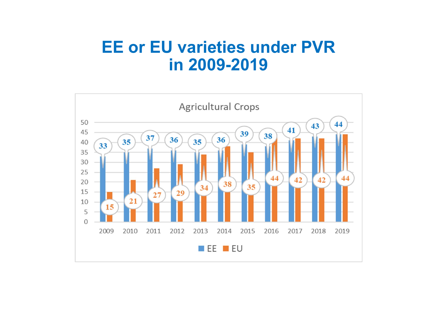#### **EE or EU varieties under PVR in 2009-2019**

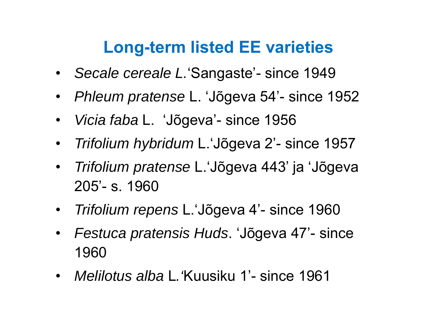### **Long-term listed EE varieties**

- $\bullet$ *Secale cereale L.*'Sangaste'- since 1949
- *Phleum pratense* L. 'Jõgeva 54'- since 1952
- $\bullet$ *Vicia faba* L. 'Jõgeva'- since 1956
- $\bullet$ *Trifolium hybridum* L.'Jõgeva 2'- since 1957
- $\bullet$  *Trifolium pratense* L.'Jõgeva 443' ja 'Jõgeva 205'- s. 1960
- $\bullet$ *Trifolium repens* L.'Jõgeva 4'- since 1960
- $\bullet$  *Festuca pratensis Huds*. 'Jõgeva 47'- since 1960
- *Melilotus alba*L*.'*Kuusiku 1'- since 1961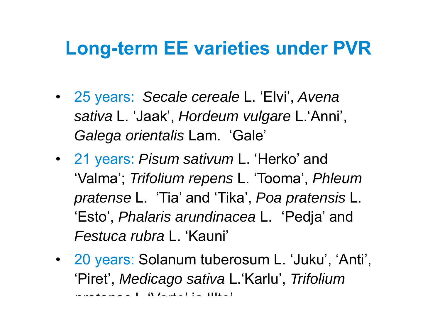## **Long-term EE varieties under PVR**

- 25 years: *Secale cereale* L. 'Elvi', *Avena sativa* L. 'Jaak', *Hordeum vulgare* L.'Anni', *Galega orientalis* Lam. 'Gale'
- 21 years: *Pisum sativum* L. 'Herko' and 'Valma'; *Trifolium repens* L. 'Tooma', *Phleum pratense* L. 'Tia' and 'Tika', *Poa pratensis* L. 'Esto', *Phalaris arundinacea* L. 'Pedja' and *Festuca rubra* L. 'Kauni'
- 20 years: Solanum tuberosum L. 'Juku', 'Anti', 'Piret', *Medicago sativa* L.'Karlu', *Trifolium pratense* L 'Varte' ja 'Ilte'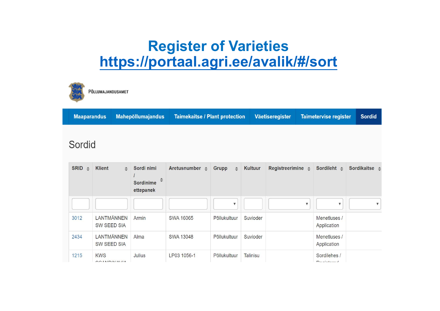#### **Register of Varieties https://portaal.agri.ee/avalik/#/sort**



1215

**KWS** 

**COANIDIALALIA** 

Julius

LP03 1056-1

PÕLLUMAJANDUSAMET

| <b>Maaparandus</b>          |                               | <b>Mahepõllumajandus</b>                         | <b>Taimekaitse / Plant protection</b> |                       |          | Väetiseregister              |   | <b>Taimetervise register</b> | <b>Sordid</b>                |
|-----------------------------|-------------------------------|--------------------------------------------------|---------------------------------------|-----------------------|----------|------------------------------|---|------------------------------|------------------------------|
| Sordid                      |                               |                                                  |                                       |                       |          |                              |   |                              |                              |
| <b>SRID</b><br>$\triangleq$ | <b>Klient</b><br>$\triangleq$ | Sordi nimi<br>÷<br><b>Sordinime</b><br>ettepanek | Aretusnumber $\triangleq$             | Grupp<br>$\triangleq$ | Kultuur  | Registreerimine $\triangleq$ |   | Sordileht $\triangleq$       | Sordikaitse $\triangle$      |
|                             |                               |                                                  |                                       | A                     |          |                              | ₩ | $\mathbf v$                  | $\boldsymbol{\triangledown}$ |
| 3012                        | LANTMÄNNEN<br>SW SEED SIA     | Armin                                            | <b>SWA 16065</b>                      | Põllukultuur          | Suvioder |                              |   | Menetluses /<br>Application  |                              |
| 2434                        | LANTMÄNNEN<br>SW SEED SIA     | Alma                                             | <b>SWA 13048</b>                      | Põllukultuur          | Suvioder |                              |   | Menetluses /<br>Application  |                              |

Põllukultuur

Talinisu

Sordilehes /

 $D$  a minimum of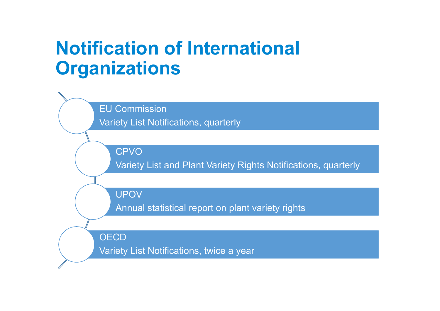## **Notification of International Organizations**

EU Commission Variety List Notifications, quarterly

CPVO

Variety List and Plant Variety Rights Notifications, quarterly

UPOV

Annual statistical report on plant variety rights

OECD

Variety List Notifications, twice a year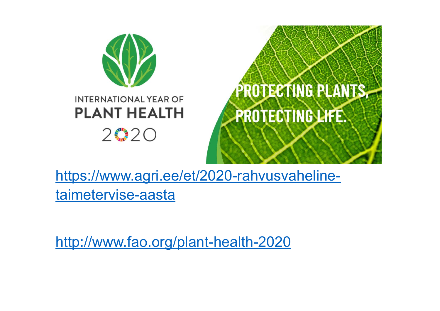

https://www.agri.ee/et/2020-rahvusvahelinetaimetervise-aasta

http://www.fao.org/plant-health-2020